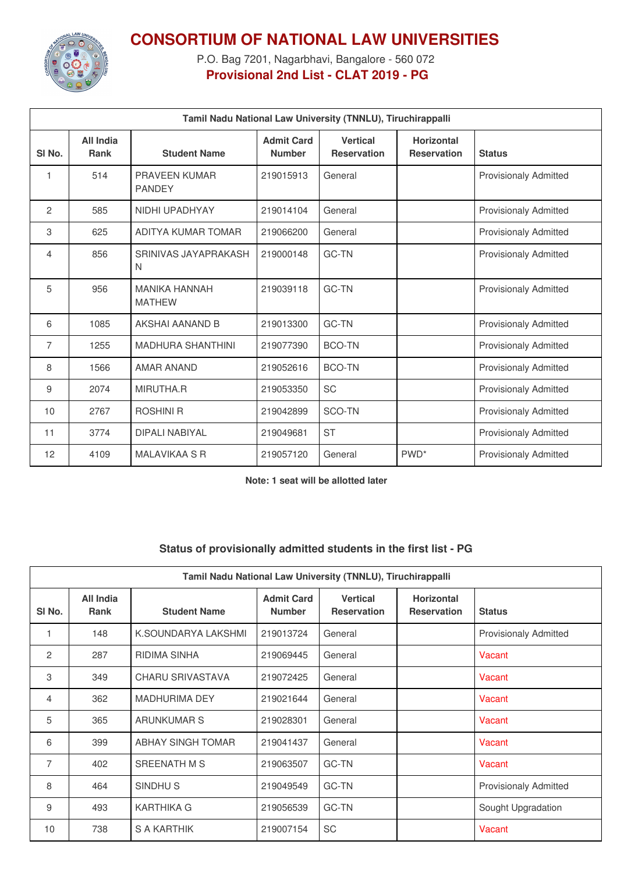

## **CONSORTIUM OF NATIONAL LAW UNIVERSITIES**

P.O. Bag 7201, Nagarbhavi, Bangalore - 560 072 **Provisional 2nd List - CLAT 2019 - PG**

| Tamil Nadu National Law University (TNNLU), Tiruchirappalli |                          |                                       |                                    |                                       |                                         |                              |
|-------------------------------------------------------------|--------------------------|---------------------------------------|------------------------------------|---------------------------------------|-----------------------------------------|------------------------------|
| SI <sub>No.</sub>                                           | All India<br><b>Rank</b> | <b>Student Name</b>                   | <b>Admit Card</b><br><b>Number</b> | <b>Vertical</b><br><b>Reservation</b> | <b>Horizontal</b><br><b>Reservation</b> | <b>Status</b>                |
| 1                                                           | 514                      | PRAVEEN KUMAR<br><b>PANDEY</b>        | 219015913                          | General                               |                                         | <b>Provisionaly Admitted</b> |
| 2                                                           | 585                      | NIDHI UPADHYAY                        | 219014104                          | General                               |                                         | <b>Provisionaly Admitted</b> |
| 3                                                           | 625                      | ADITYA KUMAR TOMAR                    | 219066200                          | General                               |                                         | <b>Provisionaly Admitted</b> |
| 4                                                           | 856                      | SRINIVAS JAYAPRAKASH<br>N             | 219000148                          | GC-TN                                 |                                         | <b>Provisionaly Admitted</b> |
| 5                                                           | 956                      | <b>MANIKA HANNAH</b><br><b>MATHEW</b> | 219039118                          | <b>GC-TN</b>                          |                                         | <b>Provisionaly Admitted</b> |
| 6                                                           | 1085                     | AKSHAI AANAND B                       | 219013300                          | <b>GC-TN</b>                          |                                         | <b>Provisionaly Admitted</b> |
| $\overline{7}$                                              | 1255                     | <b>MADHURA SHANTHINI</b>              | 219077390                          | <b>BCO-TN</b>                         |                                         | <b>Provisionaly Admitted</b> |
| 8                                                           | 1566                     | <b>AMAR ANAND</b>                     | 219052616                          | <b>BCO-TN</b>                         |                                         | <b>Provisionaly Admitted</b> |
| 9                                                           | 2074                     | MIRUTHA.R                             | 219053350                          | SC                                    |                                         | <b>Provisionaly Admitted</b> |
| 10                                                          | 2767                     | <b>ROSHINI R</b>                      | 219042899                          | SCO-TN                                |                                         | <b>Provisionaly Admitted</b> |
| 11                                                          | 3774                     | <b>DIPALI NABIYAL</b>                 | 219049681                          | <b>ST</b>                             |                                         | <b>Provisionaly Admitted</b> |
| 12                                                          | 4109                     | <b>MALAVIKAA S R</b>                  | 219057120                          | General                               | PWD <sup>*</sup>                        | <b>Provisionaly Admitted</b> |

**Note: 1 seat will be allotted later**

## **Status of provisionally admitted students in the first list - PG**

| Tamil Nadu National Law University (TNNLU), Tiruchirappalli |                          |                          |                                    |                                       |                                         |                              |
|-------------------------------------------------------------|--------------------------|--------------------------|------------------------------------|---------------------------------------|-----------------------------------------|------------------------------|
| SI No.                                                      | All India<br><b>Rank</b> | <b>Student Name</b>      | <b>Admit Card</b><br><b>Number</b> | <b>Vertical</b><br><b>Reservation</b> | <b>Horizontal</b><br><b>Reservation</b> | <b>Status</b>                |
|                                                             | 148                      | K.SOUNDARYA LAKSHMI      | 219013724                          | General                               |                                         | <b>Provisionaly Admitted</b> |
| 2                                                           | 287                      | RIDIMA SINHA             | 219069445                          | General                               |                                         | Vacant                       |
| 3                                                           | 349                      | <b>CHARU SRIVASTAVA</b>  | 219072425                          | General                               |                                         | Vacant                       |
| 4                                                           | 362                      | <b>MADHURIMA DEY</b>     | 219021644                          | General                               |                                         | Vacant                       |
| 5                                                           | 365                      | <b>ARUNKUMAR S</b>       | 219028301                          | General                               |                                         | Vacant                       |
| 6                                                           | 399                      | <b>ABHAY SINGH TOMAR</b> | 219041437                          | General                               |                                         | Vacant                       |
| 7                                                           | 402                      | SREENATH M S             | 219063507                          | GC-TN                                 |                                         | Vacant                       |
| 8                                                           | 464                      | SINDHU <sub>S</sub>      | 219049549                          | <b>GC-TN</b>                          |                                         | <b>Provisionaly Admitted</b> |
| 9                                                           | 493                      | KARTHIKA G               | 219056539                          | <b>GC-TN</b>                          |                                         | Sought Upgradation           |
| 10                                                          | 738                      | S A KARTHIK              | 219007154                          | SC                                    |                                         | Vacant                       |